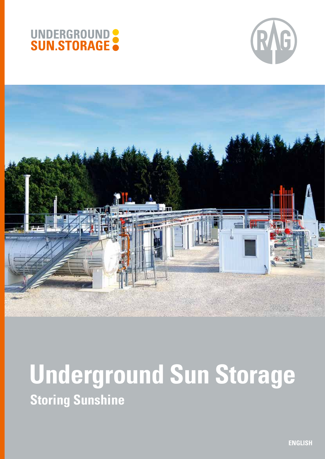





# **Underground Sun Storage Storing Sunshine**

**ENGLISH**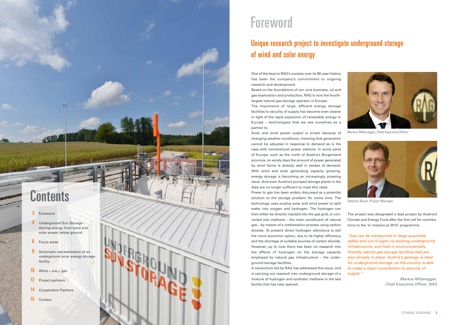# **Contents**

**ASSA** 

One of the keys to RAG's success over its 80-year history has been the company's commitment to ongoing research and development.

Based on the foundations of our core business, oil and gas exploration and production, RAG is now the fourthlargest natural gas storage operator in Europe.

The importance of large, efficient energy storage facilities to security of supply has become even clearer in light of the rapid expansion of renewable energy in Europe – technologies that we see ourselves as a partner to.

Solar and wind power output is erratic because of changing weather conditions, meaning that generation cannot be adjusted in response to demand as is the case with conventional power stations. In some parts of Europe, such as the north of Austria's Burgenland province, on windy days the amount of power generated by wind farms is already well in excess of demand. With wind and solar generating capacity growing, energy storage is becoming an increasingly pressing issue. And even Austria's pumped storage plants in the Alps are no longer sufficient to meet this need.

Power to gas has been widely discussed as a potential solution to the storage problem for some time. The technology uses surplus solar and wind power to split water into oxygen and hydrogen. The hydrogen can then either be directly injected into the gas grid, or con verted into methane – the main constituent of natural gas – by means of a methanation process using carbon dioxide. At present direct hydrogen admixture is still the more economic option, due to its higher efficiency and the shortage of suitable sources of carbon dioxide. However, up to now there has been no research into the effects of hydrogen on the storage capacity employed by natural gas infrastructure - the underground storage facilities.

A consortium led by RAG has addressed this issue, and is carrying out research into underground storage of a mixture of hydrogen and synthetic methane in the test facility that has now opened.

The project was designated a lead project by Austria's Climate and Energy Fund after the first call for contribu tions to the 'e! mission.at 2012' programme.

*"Gas can be transported in large quantities safely and out of sight via existing underground infrastructure, and held in environmentally friendly natural gas storage facilities that are also already in place. Austria's geology is ideal for underground storage, so the country is able to make a major contribution to security of supply."*

> *Markus Mitteregger, Chief Executive Officer, RAG*

#### 3 Foreword

- 4 Underground Sun Storage storing energy from wind and solar power below ground
- **6** Focus areas
- 8 Schematic representation of an underground solar energy storage facility
- $10$  Wind + sun = gas
- 12 Project partners
- 14 Cooperation Partners
- 15 Contact

# Foreword

## Unique research project to investigate underground storage of wind and solar energy



Markus Mitteregger, Chief Executive Officer



Stephan Bauer, Project Manager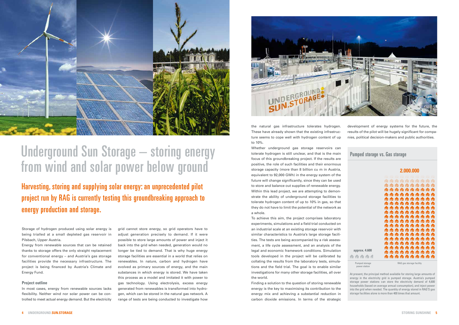the natural gas infrastructure tolerates hydrogen. These have already shown that the existing infrastructure seems to cope well with hydrogen content of up to 10%.

Whether underground gas storage reservoirs can tolerate hydrogen is still unclear, and that is the main focus of this groundbreaking project. If the results are positive, the role of such facilities and their enormous storage capacity (more than 8 billion cu m in Austria, equivalent to 92,000 GWh) in the energy system of the future will change significantly, since they can be used to store and balance out supplies of renewable energy. Within this lead project, we are attempting to demonstrate the ability of underground storage facilities to tolerate hydrogen content of up to 10% in gas, so that they do not have to limit the potential of the network as a whole.

To achieve this aim, the project comprises laboratory experiments, simulations and a field trial conducted on an industrial scale at an existing storage reservoir with similar characteristics to Austria's large storage facilities. The tests are being accompanied by a risk assessment, a life cycle assessment, and an analysis of the legal and economic framework conditions. Simulation tools developed in the project will be calibrated by collating the results from the laboratory tests, simulations and the field trial. The goal is to enable similar investigations for many other storage facilities, all over the world.



# Underground Sun Storage – storing energy Whether underground gas storage reservoirs can<br>tolerate hydrogen is still unclear, and that is the main Pumped storage vs. Gas storage from wind and solar power below ground

Finding a solution to the question of storing renewable energy is the key to maximising its contribution to the energy mix and achieving a substantial reduction in carbon dioxide emissions. In terms of the strategic

development of energy systems for the future, the results of the pilot will be hugely significant for companies, political decision-makers and public authorities.

At present, the principal method available for storing large amounts of energy in the electricity grid is pumped storage. Austria's pumped storage power stations can store the electricity demand of 4,600 households (based on average annual consumption), and inject power into the grid when needed. The quantity of energy stored in RAG'S gas storage facilities alone is more than 400 times that amount.

## Harvesting, storing and supplying solar energy: an unprecedented pilot project run by RAG is currently testing this groundbreaking approach to energy production and storage.

Storage of hydrogen produced using solar energy is being trialled at a small depleted gas reservoir in Pilsbach, Upper Austria.

Energy from renewable sources that can be retained thanks to storage offers the only straight replacement for conventional energy – and Austria's gas storage facilities provide the necessary infrastructure. The project is being financed by Austria's Climate and Energy Fund.

#### **Project outline**

In most cases, energy from renewable sources lacks flexibility. Neither wind nor solar power can be controlled to meet actual energy demand. But the electricity

grid cannot store energy, so grid operators have to adjust generation precisely to demand. If it were possible to store large amounts of power and inject it back into the grid when needed, generation would no longer be tied to demand. That is why huge energy storage facilities are essential in a world that relies on renewables. In nature, carbon and hydrogen have evolved as primary sources of energy, and the main substances in which energy is stored. We have taken this process as a model and imitated it with power to gas technology. Using electrolysis, excess energy generated from renewables is transformed into hydrogen, which can be stored in the natural gas network. A range of tests are being conducted to investigate how



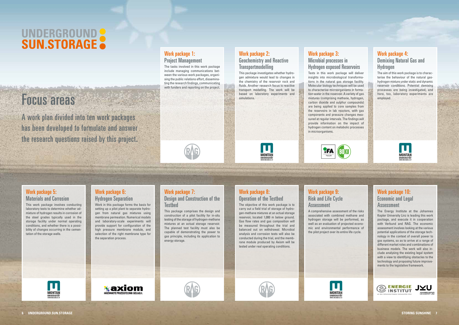# UNDERGROUND SUN.STORAGE

# Focus areas

This package comprises the design and construction of a pilot facility for in-situ testing of the storage of hydrogen-methane mixtures at an actual storage reservoir. The planned test facility must also be capable of demonstrating the power to gas principle, including its application to energy storage.

### Work package 8: Operation of the Testbed

### Work package 9: Risk and Life Cycle **Assessment**

TFA

The objective of this work package is to carry out a field trial of storage of hydrogen-methane mixtures at an actual storage reservoir, located 1,000 m below ground. Gas flow rates and gas composition will be measured throughout the trial and balanced out on withdrawal. Microbial analysis and corrosion tests will also be conducted during the trial, and the membrane module produced by Axiom will be tested under real operating conditions.

Work package 10: Economic and Legal **Assessment** 

A comprehensive assessment of the risks associated with combined methane and hydrogen storage will be performed, as well as an evaluation of projected economic and environmental performance of the pilot project over its entire life cycle.









**MONTAN** 

#### Work package 5: Materials and Corrosion

This work package involves conducting laboratory tests to determine whether admixture of hydrogen results in corrosion of the steel grades typically used in the storage facility under normal operating conditions, and whether there is a possibility of changes occurring in the cementation of the storage wells.

The tasks involved in this work package include managing communications between the various work packages, organising the public relations effort, disseminating the research findings, communicating with funders and reporting on the project.

#### Work package 2: Geochemistry and Reactive **Transportmodelling**



The Energy Institute at the Johannes Kepler University Linz is leading this work package, and execute it in cooperation with Verbund and RAG. The economic assessment involves looking at the various potential applications of the storage technology in the context of overall power to gas systems, so as to arrive at a range of different market roles and combinations of business models. The work will also include analysing the existing legal system with a view to identifying obstacles to the technology and proposing future improvements to the legislative framework.



#### Work package 6: Hydrogen Separation

Work in this package forms the basis for setting up a pilot plant to separate hydrogen from natural gas mixtures using membrane permeation. Numerical models and laboratory-scale experiments will provide support for configuration of the high pressure membrane module, and selection of the right membrane type for the separation process.

∦axiom

#### Work package 7: Design and Construction of the **Testhed**

A work plan divided into ten work packages has been developed to formulate and answer the research questions raised by this project.

#### Work package 1: Project Management

This package investigates whether hydrogen admixture would lead to changes in the chemistry of the reservoir rock and fluids. Another research focus is reactive transport modelling. The work will be based on laboratory experiments and simulations.



Work package 4: Demixing Natural Gas and Hydrogen

The aim of this work package is to characterise the behaviour of the natural gashydrogen mixture under static and dynamic reservoir conditions. Potential demixing processes are being investigated, and here, too, laboratory experiments are employed.



Work package 3:

#### Microbial processes in Hydrogen exposed Reservoirs

Tests in this work package will deliver insights into microbiological transformations in the natural gas storage facility. Molecular biology techniques will be used to characterise microorganisms in formation water in the reservoir. A variety of gas mixtures (comprising methane, hydrogen, carbon dioxide and sulphur compounds) are being applied to core samples from the reservoirs in lab reactors, with gas components and pressure changes measured at regular intervals. The findings will provide information on the impact of



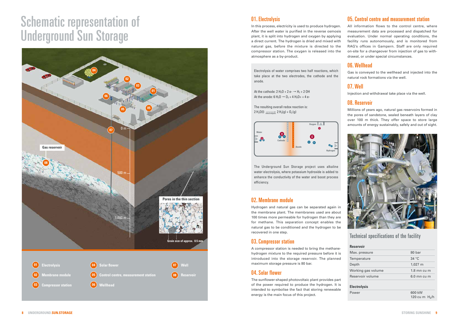# Schematic representation of Underground Sun Storage

### 01. Electrolysis

The resulting overall redox reaction is: 2 H<sub>2</sub>O(I)  $\frac{1}{\text{electrolysis}}$  2 H<sub>2</sub>(g) + O<sub>2</sub>(g)

In this process, electricity is used to produce hydrogen. After the well water is purified in the reverse osmosis plant, it is split into hydrogen and oxygen by applying a direct current. The hydrogen is dried and mixed with natural gas, before the mixture is directed to the compressor station. The oxygen is released into the atmosphere as a by-product.

Electrolysis of water comprises two half reactions, which take place at the two electrodes, the cathode and the anode.

At the cathode:  $2 H_2O + 2 e^ \rightarrow H_2 + 2 O H$ At the anode: 6 H<sub>2</sub>O  $\rightarrow$  O<sub>2</sub> + 4 H<sub>3</sub>O + + 4 e-

The Underground Sun Storage project uses alkaline water electrolysis, where potassium hydroxide is added to enhance the conductivity of the water and boost process efficiency.

### 02. Membrane module

Hydrogen and natural gas can be separated again in the membrane plant. The membranes used are about 100 times more permeable for hydrogen than they are for methane. This separation concept enables the natural gas to be conditioned and the hydrogen to be recovered in one step.



### 03. Compressor station

A compressor station is needed to bring the methanehydrogen mixture to the required pressure before it is introduced into the storage reservoir. The planned maximum storage pressure is 80 bar.

### 04. Solar flower

The sunflower-shaped photovoltaic plant provides part of the power required to produce the hydrogen. It is intended to symbolise the fact that storing renewable energy is the main focus of this project.

#### 05. Control centre and measurement station

All information flows to the control centre, where measurement data are processed and dispatched for evaluation. Under normal operating conditions, the facility runs autonomously, and is monitored from RAG's offices in Gampern. Staff are only required on-site for a changeover from injection of gas to withdrawal, or under special circumstances.

### 06. Wellhead

Gas is conveyed to the wellhead and injected into the natural rock formations via the well.

### 07. Well

Injection and withdrawal take place via the well.

### 08. Reservoir

Millions of years ago, natural gas reservoirs formed in the pores of sandstone, sealed beneath layers of clay over 100 m thick. They offer space to store large amounts of energy sustainably, safely and out of sight.





#### Technical specifications of the facility

| <b>Reservoir</b>    |                 |
|---------------------|-----------------|
| Max. pressure       | 80 bar          |
| Temperature         | 34 °C           |
| Depth               | $1,027 \; m$    |
| Working gas volume  | $1.8$ mn cu m   |
| Reservoir volume    | 6.0 mn cu m     |
| <b>Electrolysis</b> |                 |
| Power               | 600 kW          |
|                     | 120 cu m $H2/h$ |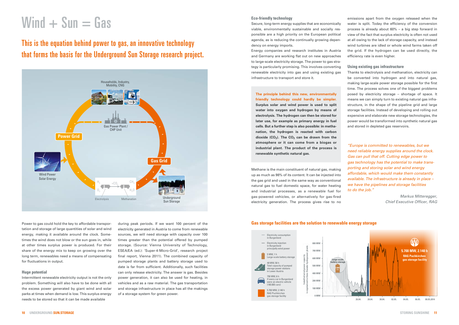#### **Eco-friendly technology**

Secure, long-term energy supplies that are economically viable, environmentally sustainable and socially responsible are a high priority on the European political agenda, as is reducing the continually growing dependency on energy imports.

Energy companies and research institutes in Austria and Germany are working flat out on new approaches to large-scale electricity storage. The power to gas strategy is particularly promising. This involves converting renewable electricity into gas and using existing gas infrastructure to transport and store it.

**The principle behind this new, environmentally friendly technology could hardly be simpler. Surplus solar and wind power is used to split water into oxygen and hydrogen by means of electrolysis. The hydrogen can then be stored for later use, for example as primary energy in fuel cells. But a further step is also possible: in methanation, the hydrogen is reacted with carbon**  dioxide (CO<sub>2</sub>). The CO<sub>2</sub> can be drawn from the **atmosphere or it can come from a biogas or industrial plant. The product of the process is renewable synthetic natural gas.** 

Methane is the main constituent of natural gas, making up as much as 98% of its content. It can be injected into the gas grid and used in the same way as conventional natural gas to fuel domestic space, for water heating and industrial processes, as a renewable fuel for gas-powered vehicles, or alternatively for gas-fired electricity generation. The process gives rise to no emissions apart from the oxygen released when the water is split. Today the efficiency of the conversion process is already about 60% – a big step forward in view of the fact that surplus electricity is often not used at all owing to the lack of storage capacity, and instead wind turbines are idled or whole wind farms taken off the grid. If the hydrogen can be used directly, the efficiency rate is even higher.

#### **Using existing gas infrastructure**

Thanks to electrolysis and methanation, electricity can be converted into hydrogen and into natural gas, making large-scale power storage possible for the first time. The process solves one of the biggest problems posed by electricity storage – shortage of space. It means we can simply turn to existing natural gas infrastructure, in the shape of the pipeline grid and large storage facilities. Instead of developing and rolling out expensive and elaborate new storage technologies, the power would be transformed into synthetic natural gas and stored in depleted gas reservoirs.

*"Europe is committed to renewables, but we need reliable energy supplies around the clock. Gas can pull that off. Cutting edge power to gas technology has the potential to make transporting and storing solar and wind energy affordable, which would make them constantly available. The infrastructure is already in place – we have the pipelines and storage facilities to do the job."*

> *Markus Mitteregger, Chief Executive Officer, RAG*

# $Wind + Sun = Gas$

## This is the equation behind power to gas, an innovative technology that forms the basis for the Underground Sun Storage research project.

Power to gas could hold the key to affordable transportation and storage of large quantities of solar and wind energy, making it available around the clock. Sometimes the wind does not blow or the sun goes in, while at other times surplus power is produced. For their share of the energy mix to keep on growing over the long term, renewables need a means of compensating for fluctuations in output.

#### **Huge potential**

Intermittent renewable electricity output is not the only problem. Something will also have to be done with all the excess power generated by giant wind and solar parks at times when demand is low. This surplus energy needs to be stored so that it can be made available

during peak periods. If we want 100 percent of the electricity generated in Austria to come from renewable sources, we will need storage with capacity over 100 times greater than the potential offered by pumped storage. (Source: Vienna University of Technology, ESEA/EA (ed.): 'Super-4-Micro-Grid', research project final report, Vienna 2011). The combined capacity of pumped storage plants and battery storage used to date is far from sufficient. Additionally, such facilities can only release electricity. The answer is gas. Besides power generation, it can also be used for heating, in vehicles and as a raw material. The gas transportation and storage infrastructure in place has all the makings of a storage system for green power.





#### **Gas storage facilities are the solution to renewable energy storage**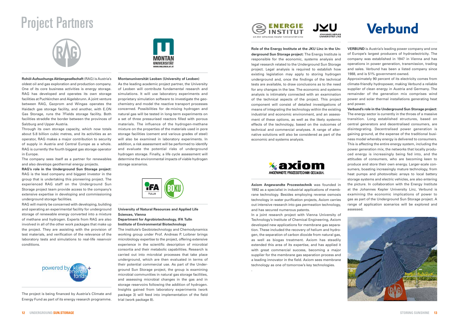![](_page_6_Picture_22.jpeg)

**Rohöl-Aufsuchungs Aktiengesellschaft** (RAG) is Austria's oldest oil and gas exploration and production company. One of its core business activities is energy storage. RAG has developed and operates its own storage facilities at Puchkirchen and Aigelsbrunn. A joint venture between RAG, Gazprom and Wingas operates the Haidach gas storage facility, and another, with E.ON Gas Storage, runs the 7Fields storage facility. Both facilities straddle the border between the provinces of Salzburg and Upper Austria.

Through its own storage capacity, which now totals about 5.8 billion cubic metres, and its activities as an operator, RAG makes a major contribution to security of supply in Austria and Central Europe as a whole. RAG is currently the fourth biggest gas storage operator in Europe.

The company sees itself as a partner for renewables and also develops geothermal energy projects.

**RAG's role in the Underground Sun Storage project:**  RAG is the lead company and biggest investor in the group that is undertaking this pioneering project. The experienced RAG staff on the Underground Sun Storage project team provide access to the company's extensive expertise in developing and commissioning underground storage facilities.

RAG will mainly be concerned with developing, building and operating an experimental facility for underground storage of renewable energy converted into a mixture of methane and hydrogen. Experts from RAG are also involved in all of the other work packages that make up the project. They are assisting with the provision of test materials, and verification of the relevance of the laboratory tests and simulations to real-life reservoir conditions.

![](_page_6_Picture_7.jpeg)

#### **Montanuniversität Leoben (University of Leoben)**

As the leading academic project partner, the University of Leoben will contribute fundamental research and simulations. It will use laboratory experiments and proprietary simulation software to investigate the geochemistry and model the reactive transport processes concerned. Possibilities for de-mixing hydrogen and natural gas will be tested in long-term experiments on a set of three pressurised reactors filled with porous materials. The influence of the hydrogen-methane mixture on the properties of the materials used in pore storage facilities (cement and various grades of steel) will also be examined in laboratory experiments. In addition, a risk assessment will be performed to identify and evaluate the potential risks of underground hydrogen storage. Finally, a life cycle assessment will determine the environmental impacts of viable hydrogen storage scenarios.

![](_page_6_Picture_12.jpeg)

#### **University of Natural Resources and Applied Life Sciences, Vienna**

#### **Department for Agrobiotechnology, IFA Tulln Institute of Environmental Biotechnology**

The institute's Geobiotechnology and Chemodynamics working group under Prof. Andreas P. Loibner brings microbiology expertise to the project, offering extensive experience in the scientific description of microbial consortia and their metabolic capabilities. Research is carried out into microbial processes that take place underground, which are then evaluated in terms of their potential commercial use. As part of the Underground Sun Storage project, the group is examining microbial communities in natural gas storage facilities, and assessing microbial changes in the gas and in storage reservoirs following the addition of hydrogen. Insights gained from laboratory experiments (work package 3) will feed into implementation of the field trial (work package 8).

![](_page_6_Picture_16.jpeg)

# Project Partners

![](_page_6_Picture_1.jpeg)

**Role of the Energy Institute at the JKU Linz in the Underground Sun Storage project:** The Energy Institute is responsible for the economic, systems analysis and legal research related to the Underground Sun Storage project. Legal analysis is required to establish how existing legislation may apply to storing hydrogen underground and, once the findings of the technical tests are available, to draw conclusions as to the need for any changes in the law. The economic and systems analysis is intimately connected with an examination of the technical aspects of the project. This project component will consist of detailed investigations of means of integrating the technology within the existing industrial and economic environment, and an assessment of these options, as well as the likely systemic effects of the technology, based on the outcomes of technical and commercial analyses. A range of alternative solutions will also be considered as part of the economic and systems analysis.

![](_page_6_Picture_18.jpeg)

**Axiom Angewandte Prozesstechnik** was founded in 1992 as a specialist in industrial applications of membrane technology. Besides employing reverse osmosis technology in water purification projects, Axiom carries out intensive research into gas permeation technology, and has secured numerous patents.

In a joint research project with Vienna University of Technology's Institute of Chemical Engineering, Axiom developed new applications for membrane gas separation. These included the recovery of helium and hydrogen, the separation of carbon dioxide from natural gas, as well as biogas treatment. Axiom has steadily extended this area of its expertise, and has applied it with great commercial success, becoming a major supplier for the membrane gas separation process and a leading innovator in the field. Axiom sees membrane technology as one of tomorrow's key technologies.

.

**VERBUND** is Austria's leading power company and one of Europe's largest producers of hydroelectricity. The company was established in 1947 in Vienna and has operations in power generation, transmission, trading and sales. Verbund has been a listed company since 1988, and is 51% government-owned.

Approximately 90 percent of its electricity comes from climate-friendly hydropower, making Verbund a reliable supplier of clean energy in Austria and Germany. The remainder of the generation mix comprises wind power and solar thermal installations generating heat and power.

**Verbund's role in the Underground Sun Storage project:**  The energy sector is currently in the throes of a massive transition. Long established structures, based on central generators and decentralised consumers, are disintegrating. Decentralised power generation is gaining ground, at the expense of the traditional business model whereby energy is delivered to consumers. This is affecting the entire energy system, including the power generation mix, the networks that locally produced energy is increasingly being fed into, and the attitudes of consumers, who are becoming keen to produce and store their own energy. Larger-scale consumers, boasting increasingly mature technology, from heat pumps and photovoltaic arrays to local battery storage systems and electric vehicles, are also entering the picture. In collaboration with the Energy Institute at the Johannes Kepler University Linz, Verbund is examining the economic implications of power to gas as part of the Underground Sun Storage project. A range of application scenarios will be explored and assessed.

![](_page_6_Picture_26.jpeg)

The project is being financed by Austria's Climate and Energy Fund as part of its energy research programme.

![](_page_6_Picture_9.jpeg)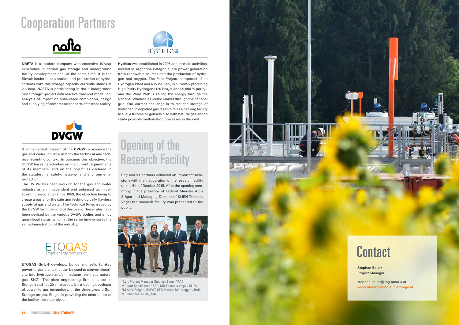**Contact** 

**NAFTA** is a modern company with extensive 40-year experience in natural gas storage and underground facility development and, at the same time, it is the Slovak leader in exploration and production of hydrocarbons with this storage capacity currently stands at 2.6 bcm. NAFTA is participating in the "Underground Sun Storage"-project with reactive transport modelling, analysis of impact on subsurface completion, design and supplying of compressor for parts of testbed facility.

![](_page_7_Picture_3.jpeg)

It is the central mission of the **DVGW** to advance the gas and water industry in both the technical and technical-scientific context. In pursuing this objective, the DVGW bases its activities on the current requirements of its members, and on the objectives declared in the statutes, i.e. safety, hygiene, and environmental protection.

The DVGW has been working for the gas and water industry as an independent and unbiased technicalscientific association since 1859, the objective being to create a basis for the safe and technologically flawless supply of gas and water. The Technical Rules issued by the DVGW form the core of this basis. These rules have been devised by the various DVGW bodies and enjoy quasi-legal status, which at the same time ensures the self-administration of the industry.

![](_page_7_Picture_6.jpeg)

**ETOGAS GmbH** develops, builds and sells turnkey power-to-gas plants that can be used to convert electricity into hydrogen and/or methane (synthetic natural gas, SNG). The plant engineering firm is based in Stuttgart and has 20 employees. It is a leading developer of power to gas technology. In the Underground Sun Storage project, Etogas is providing the centrepiece of the facility, the electrolyser.

![](_page_7_Picture_8.jpeg)

**Hychico** was established in 2006 and its main activities, located in Argentine Patagonia, are power generation from renewable sources and the production of hydrogen and oxygen. The Pilot Project, composed of an Hydrogen Plant and a Wind Park, is currently producing High Purity Hydrogen (120 Nm<sub>3</sub>/h and 99,998 % purity), and the Wind Park is selling the energy through the National Wholesale Electric Market through the national grid. Our current challenge is to test the storage of hydrogen in depleted gas reservoirs as a peaking facility to fuel a turbine or gensets also with natural gas and to study possible methanation processes in the well.

# Cooperation Partners

![](_page_7_Picture_1.jpeg)

**Stephan Bauer** Project Manager

stephan.bauer@rag-austria.at www.underground-sun-storage.at

Rag and its partners achieved an important milestone with the inauguration of the research facility on the 5th of October 2015. After the opening ceremony in the presence of Federal Minister Alois Stöger and Managing Director of KLIEN Theresia Vogel the research facility was presented to the public.

![](_page_7_Picture_12.jpeg)

f.l.t.r.: Project Manager Stephan Bauer / RAG, MD Kurt Sonnleitner / RAG, MD Theresia Vogel / KLIEN, FM Alois Stöger / BMVIT, CEO Markus Mitteregger / RAG, MD Michael Längle / RAG

![](_page_7_Picture_14.jpeg)

# Opening of the Research Facility